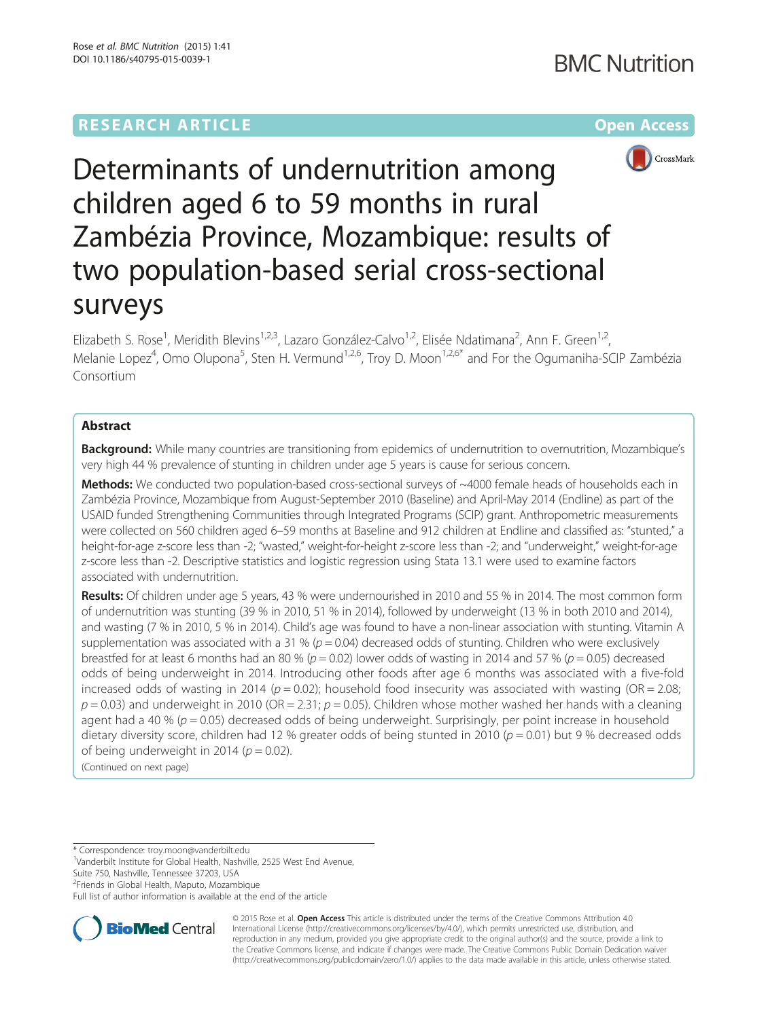

Determinants of undernutrition among children aged 6 to 59 months in rural Zambézia Province, Mozambique: results of two population-based serial cross-sectional surveys

Elizabeth S. Rose<sup>1</sup>, Meridith Blevins<sup>1,2,3</sup>, Lazaro González-Calvo<sup>1,2</sup>, Elisée Ndatimana<sup>2</sup>, Ann F. Green<sup>1,2</sup>, Melanie Lopez<sup>4</sup>, Omo Olupona<sup>5</sup>, Sten H. Vermund<sup>1,2,6</sup>, Troy D. Moon<sup>1,2,6\*</sup> and For the Ogumaniha-SCIP Zambézia Consortium

# Abstract

Background: While many countries are transitioning from epidemics of undernutrition to overnutrition, Mozambique's very high 44 % prevalence of stunting in children under age 5 years is cause for serious concern.

Methods: We conducted two population-based cross-sectional surveys of ~4000 female heads of households each in Zambézia Province, Mozambique from August-September 2010 (Baseline) and April-May 2014 (Endline) as part of the USAID funded Strengthening Communities through Integrated Programs (SCIP) grant. Anthropometric measurements were collected on 560 children aged 6–59 months at Baseline and 912 children at Endline and classified as: "stunted," a height-for-age z-score less than -2; "wasted," weight-for-height z-score less than -2; and "underweight," weight-for-age z-score less than -2. Descriptive statistics and logistic regression using Stata 13.1 were used to examine factors associated with undernutrition.

Results: Of children under age 5 years, 43 % were undernourished in 2010 and 55 % in 2014. The most common form of undernutrition was stunting (39 % in 2010, 51 % in 2014), followed by underweight (13 % in both 2010 and 2014), and wasting (7 % in 2010, 5 % in 2014). Child's age was found to have a non-linear association with stunting. Vitamin A supplementation was associated with a 31 % ( $p = 0.04$ ) decreased odds of stunting. Children who were exclusively breastfed for at least 6 months had an 80 % ( $p = 0.02$ ) lower odds of wasting in 2014 and 57 % ( $p = 0.05$ ) decreased odds of being underweight in 2014. Introducing other foods after age 6 months was associated with a five-fold increased odds of wasting in 2014 ( $p = 0.02$ ); household food insecurity was associated with wasting (OR = 2.08;  $p = 0.03$ ) and underweight in 2010 (OR = 2.31;  $p = 0.05$ ). Children whose mother washed her hands with a cleaning agent had a 40 % ( $p = 0.05$ ) decreased odds of being underweight. Surprisingly, per point increase in household dietary diversity score, children had 12 % greater odds of being stunted in 2010 ( $p = 0.01$ ) but 9 % decreased odds of being underweight in 2014 ( $p = 0.02$ ).

(Continued on next page)

\* Correspondence: [troy.moon@vanderbilt.edu](mailto:troy.moon@vanderbilt.edu) <sup>1</sup>

<sup>1</sup>Vanderbilt Institute for Global Health, Nashville, 2525 West End Avenue, Suite 750, Nashville, Tennessee 37203, USA

<sup>2</sup>Friends in Global Health, Maputo, Mozambique

Full list of author information is available at the end of the article



© 2015 Rose et al. Open Access This article is distributed under the terms of the Creative Commons Attribution 4.0 International License [\(http://creativecommons.org/licenses/by/4.0/](http://creativecommons.org/licenses/by/4.0/)), which permits unrestricted use, distribution, and reproduction in any medium, provided you give appropriate credit to the original author(s) and the source, provide a link to the Creative Commons license, and indicate if changes were made. The Creative Commons Public Domain Dedication waiver [\(http://creativecommons.org/publicdomain/zero/1.0/](http://creativecommons.org/publicdomain/zero/1.0/)) applies to the data made available in this article, unless otherwise stated.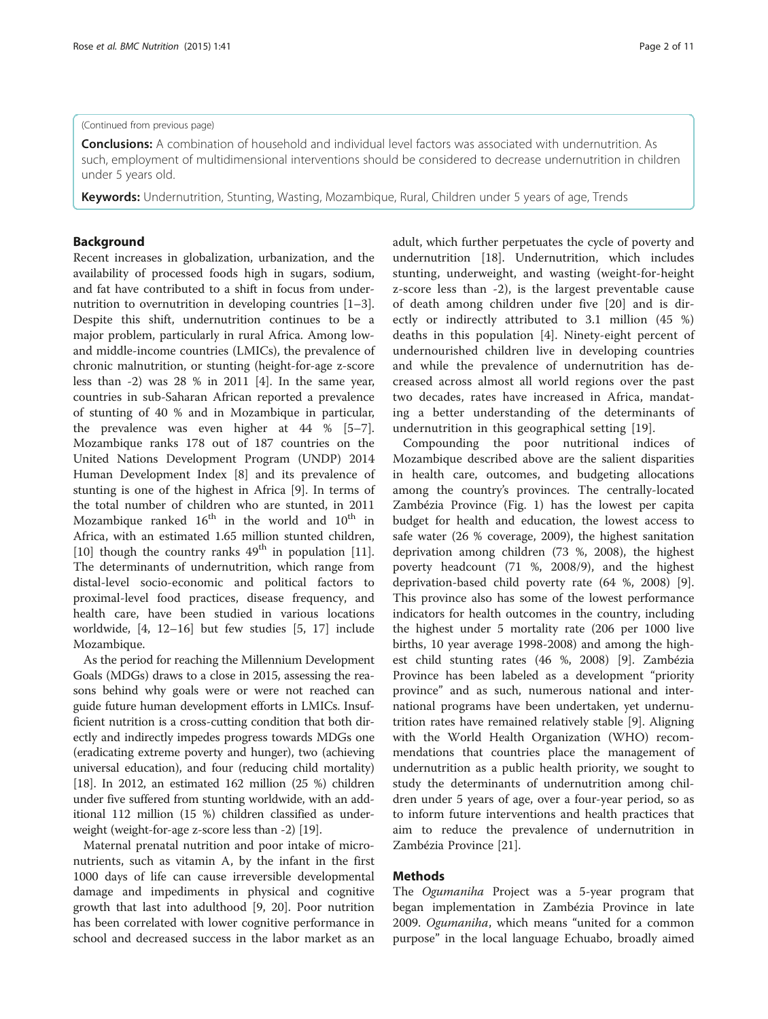#### (Continued from previous page)

**Conclusions:** A combination of household and individual level factors was associated with undernutrition. As such, employment of multidimensional interventions should be considered to decrease undernutrition in children under 5 years old.

Keywords: Undernutrition, Stunting, Wasting, Mozambique, Rural, Children under 5 years of age, Trends

### Background

Recent increases in globalization, urbanization, and the availability of processed foods high in sugars, sodium, and fat have contributed to a shift in focus from undernutrition to overnutrition in developing countries [\[1](#page-9-0)–[3](#page-9-0)]. Despite this shift, undernutrition continues to be a major problem, particularly in rural Africa. Among lowand middle-income countries (LMICs), the prevalence of chronic malnutrition, or stunting (height-for-age z-score less than -2) was 28 % in 2011 [\[4\]](#page-10-0). In the same year, countries in sub-Saharan African reported a prevalence of stunting of 40 % and in Mozambique in particular, the prevalence was even higher at 44 % [\[5](#page-10-0)–[7](#page-10-0)]. Mozambique ranks 178 out of 187 countries on the United Nations Development Program (UNDP) 2014 Human Development Index [[8\]](#page-10-0) and its prevalence of stunting is one of the highest in Africa [[9\]](#page-10-0). In terms of the total number of children who are stunted, in 2011 Mozambique ranked  $16<sup>th</sup>$  in the world and  $10<sup>th</sup>$  in Africa, with an estimated 1.65 million stunted children, [[10\]](#page-10-0) though the country ranks  $49<sup>th</sup>$  in population [\[11](#page-10-0)]. The determinants of undernutrition, which range from distal-level socio-economic and political factors to proximal-level food practices, disease frequency, and health care, have been studied in various locations worldwide, [[4, 12](#page-10-0)–[16](#page-10-0)] but few studies [\[5](#page-10-0), [17](#page-10-0)] include Mozambique.

As the period for reaching the Millennium Development Goals (MDGs) draws to a close in 2015, assessing the reasons behind why goals were or were not reached can guide future human development efforts in LMICs. Insufficient nutrition is a cross-cutting condition that both directly and indirectly impedes progress towards MDGs one (eradicating extreme poverty and hunger), two (achieving universal education), and four (reducing child mortality) [[18](#page-10-0)]. In 2012, an estimated 162 million (25 %) children under five suffered from stunting worldwide, with an additional 112 million (15 %) children classified as underweight (weight-for-age z-score less than -2) [\[19\]](#page-10-0).

Maternal prenatal nutrition and poor intake of micronutrients, such as vitamin A, by the infant in the first 1000 days of life can cause irreversible developmental damage and impediments in physical and cognitive growth that last into adulthood [[9, 20](#page-10-0)]. Poor nutrition has been correlated with lower cognitive performance in school and decreased success in the labor market as an adult, which further perpetuates the cycle of poverty and undernutrition [\[18](#page-10-0)]. Undernutrition, which includes stunting, underweight, and wasting (weight-for-height z-score less than -2), is the largest preventable cause of death among children under five [[20\]](#page-10-0) and is directly or indirectly attributed to 3.1 million (45 %) deaths in this population [\[4](#page-10-0)]. Ninety-eight percent of undernourished children live in developing countries and while the prevalence of undernutrition has decreased across almost all world regions over the past two decades, rates have increased in Africa, mandating a better understanding of the determinants of undernutrition in this geographical setting [[19\]](#page-10-0).

Compounding the poor nutritional indices of Mozambique described above are the salient disparities in health care, outcomes, and budgeting allocations among the country's provinces. The centrally-located Zambézia Province (Fig. [1\)](#page-2-0) has the lowest per capita budget for health and education, the lowest access to safe water (26 % coverage, 2009), the highest sanitation deprivation among children (73 %, 2008), the highest poverty headcount (71 %, 2008/9), and the highest deprivation-based child poverty rate (64 %, 2008) [\[9](#page-10-0)]. This province also has some of the lowest performance indicators for health outcomes in the country, including the highest under 5 mortality rate (206 per 1000 live births, 10 year average 1998-2008) and among the highest child stunting rates (46 %, 2008) [\[9](#page-10-0)]. Zambézia Province has been labeled as a development "priority province" and as such, numerous national and international programs have been undertaken, yet undernutrition rates have remained relatively stable [\[9\]](#page-10-0). Aligning with the World Health Organization (WHO) recommendations that countries place the management of undernutrition as a public health priority, we sought to study the determinants of undernutrition among children under 5 years of age, over a four-year period, so as to inform future interventions and health practices that aim to reduce the prevalence of undernutrition in Zambézia Province [\[21\]](#page-10-0).

## Methods

The Ogumaniha Project was a 5-year program that began implementation in Zambézia Province in late 2009. Ogumaniha, which means "united for a common purpose" in the local language Echuabo, broadly aimed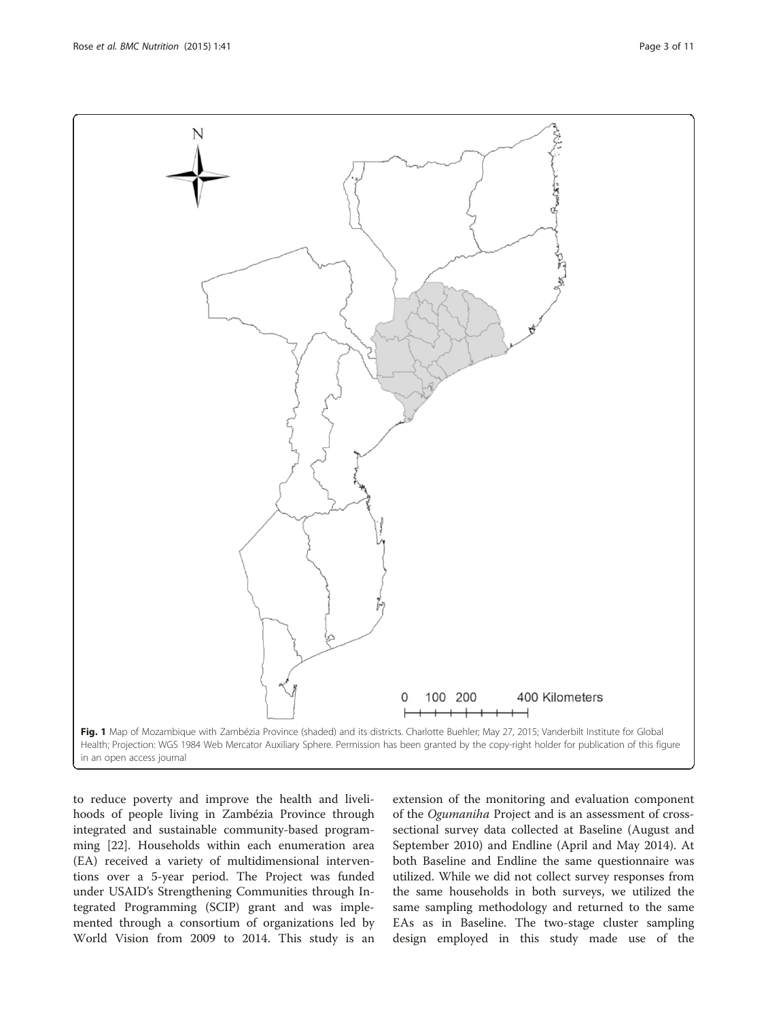<span id="page-2-0"></span>Rose et al. BMC Nutrition (2015) 1:41 Page 3 of 11



to reduce poverty and improve the health and livelihoods of people living in Zambézia Province through integrated and sustainable community-based programming [\[22](#page-10-0)]. Households within each enumeration area (EA) received a variety of multidimensional interventions over a 5-year period. The Project was funded under USAID's Strengthening Communities through Integrated Programming (SCIP) grant and was implemented through a consortium of organizations led by World Vision from 2009 to 2014. This study is an

extension of the monitoring and evaluation component of the Ogumaniha Project and is an assessment of crosssectional survey data collected at Baseline (August and September 2010) and Endline (April and May 2014). At both Baseline and Endline the same questionnaire was utilized. While we did not collect survey responses from the same households in both surveys, we utilized the same sampling methodology and returned to the same EAs as in Baseline. The two-stage cluster sampling design employed in this study made use of the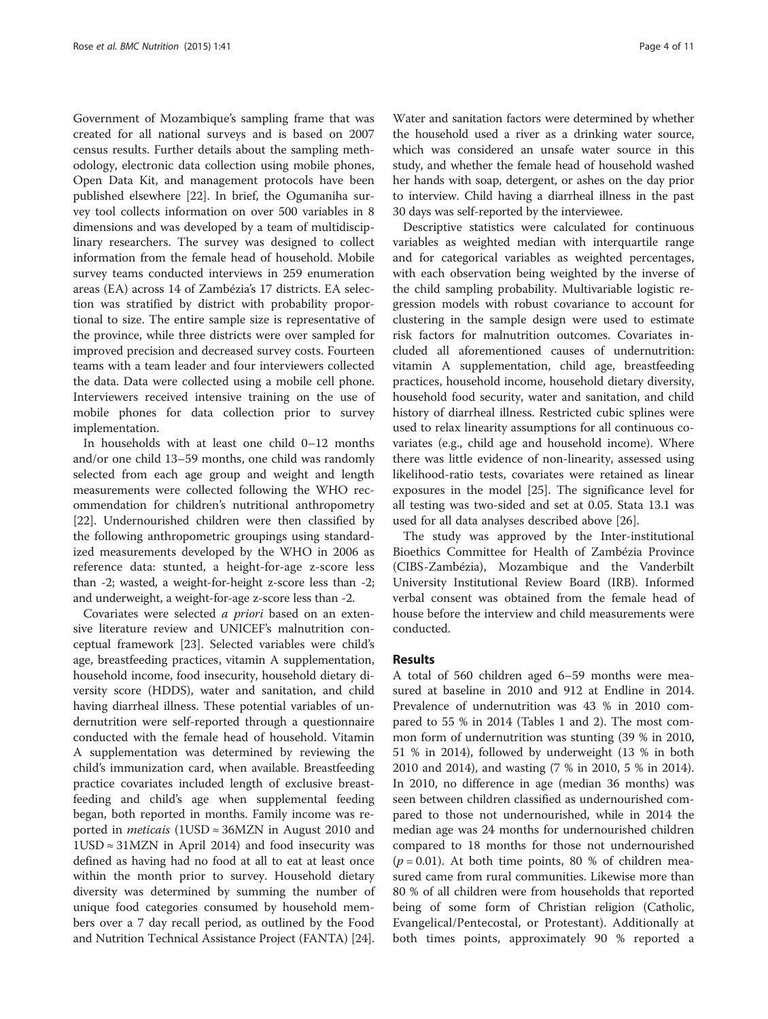Government of Mozambique's sampling frame that was created for all national surveys and is based on 2007 census results. Further details about the sampling methodology, electronic data collection using mobile phones, Open Data Kit, and management protocols have been published elsewhere [[22](#page-10-0)]. In brief, the Ogumaniha survey tool collects information on over 500 variables in 8 dimensions and was developed by a team of multidisciplinary researchers. The survey was designed to collect information from the female head of household. Mobile survey teams conducted interviews in 259 enumeration areas (EA) across 14 of Zambézia's 17 districts. EA selection was stratified by district with probability proportional to size. The entire sample size is representative of the province, while three districts were over sampled for improved precision and decreased survey costs. Fourteen teams with a team leader and four interviewers collected the data. Data were collected using a mobile cell phone. Interviewers received intensive training on the use of mobile phones for data collection prior to survey implementation.

In households with at least one child 0–12 months and/or one child 13–59 months, one child was randomly selected from each age group and weight and length measurements were collected following the WHO recommendation for children's nutritional anthropometry [[22\]](#page-10-0). Undernourished children were then classified by the following anthropometric groupings using standardized measurements developed by the WHO in 2006 as reference data: stunted, a height-for-age z-score less than -2; wasted, a weight-for-height z-score less than -2; and underweight, a weight-for-age z-score less than -2.

Covariates were selected *a priori* based on an extensive literature review and UNICEF's malnutrition conceptual framework [[23\]](#page-10-0). Selected variables were child's age, breastfeeding practices, vitamin A supplementation, household income, food insecurity, household dietary diversity score (HDDS), water and sanitation, and child having diarrheal illness. These potential variables of undernutrition were self-reported through a questionnaire conducted with the female head of household. Vitamin A supplementation was determined by reviewing the child's immunization card, when available. Breastfeeding practice covariates included length of exclusive breastfeeding and child's age when supplemental feeding began, both reported in months. Family income was reported in *meticais* (1USD  $\approx$  36MZN in August 2010 and  $1USD \approx 31 MZN$  in April 2014) and food insecurity was defined as having had no food at all to eat at least once within the month prior to survey. Household dietary diversity was determined by summing the number of unique food categories consumed by household members over a 7 day recall period, as outlined by the Food and Nutrition Technical Assistance Project (FANTA) [[24](#page-10-0)].

Water and sanitation factors were determined by whether the household used a river as a drinking water source, which was considered an unsafe water source in this study, and whether the female head of household washed her hands with soap, detergent, or ashes on the day prior to interview. Child having a diarrheal illness in the past 30 days was self-reported by the interviewee.

Descriptive statistics were calculated for continuous variables as weighted median with interquartile range and for categorical variables as weighted percentages, with each observation being weighted by the inverse of the child sampling probability. Multivariable logistic regression models with robust covariance to account for clustering in the sample design were used to estimate risk factors for malnutrition outcomes. Covariates included all aforementioned causes of undernutrition: vitamin A supplementation, child age, breastfeeding practices, household income, household dietary diversity, household food security, water and sanitation, and child history of diarrheal illness. Restricted cubic splines were used to relax linearity assumptions for all continuous covariates (e.g., child age and household income). Where there was little evidence of non-linearity, assessed using likelihood-ratio tests, covariates were retained as linear exposures in the model [\[25\]](#page-10-0). The significance level for all testing was two-sided and set at 0.05. Stata 13.1 was used for all data analyses described above [[26\]](#page-10-0).

The study was approved by the Inter-institutional Bioethics Committee for Health of Zambézia Province (CIBS-Zambézia), Mozambique and the Vanderbilt University Institutional Review Board (IRB). Informed verbal consent was obtained from the female head of house before the interview and child measurements were conducted.

### Results

A total of 560 children aged 6–59 months were measured at baseline in 2010 and 912 at Endline in 2014. Prevalence of undernutrition was 43 % in 2010 compared to 55 % in 2014 (Tables [1](#page-4-0) and [2](#page-5-0)). The most common form of undernutrition was stunting (39 % in 2010, 51 % in 2014), followed by underweight (13 % in both 2010 and 2014), and wasting (7 % in 2010, 5 % in 2014). In 2010, no difference in age (median 36 months) was seen between children classified as undernourished compared to those not undernourished, while in 2014 the median age was 24 months for undernourished children compared to 18 months for those not undernourished  $(p = 0.01)$ . At both time points, 80 % of children measured came from rural communities. Likewise more than 80 % of all children were from households that reported being of some form of Christian religion (Catholic, Evangelical/Pentecostal, or Protestant). Additionally at both times points, approximately 90 % reported a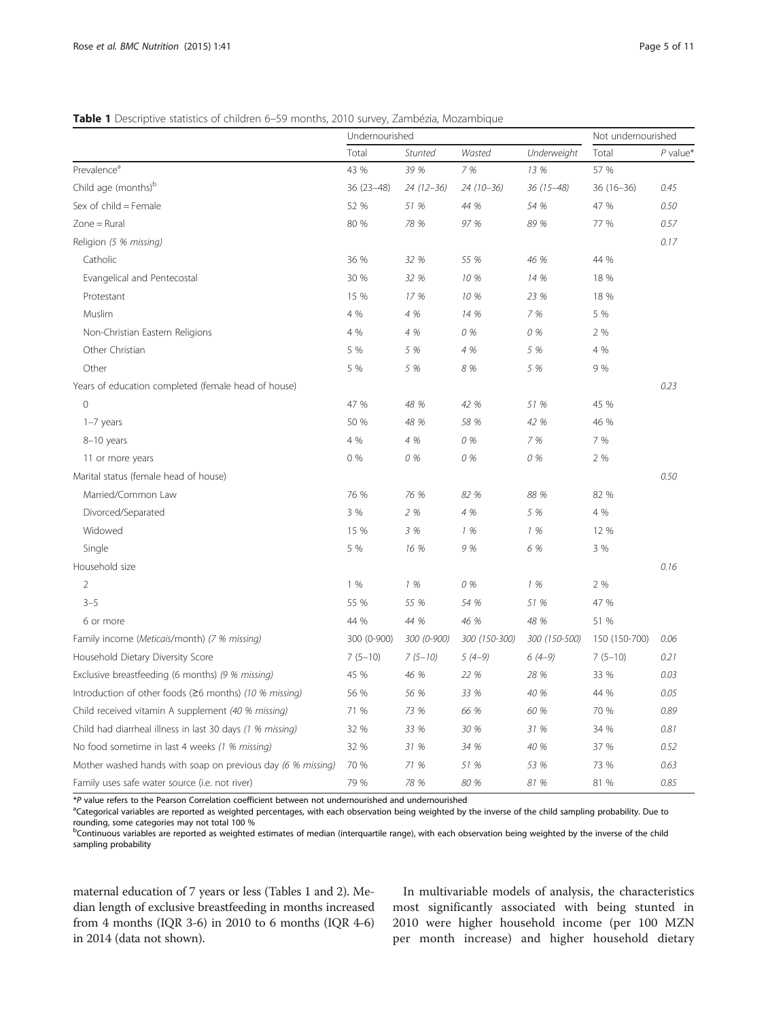### <span id="page-4-0"></span>Table 1 Descriptive statistics of children 6–59 months, 2010 survey, Zambézia, Mozambique

|                                                               | Undernourished |             | Not undernourished |               |               |            |
|---------------------------------------------------------------|----------------|-------------|--------------------|---------------|---------------|------------|
|                                                               | Total          | Stunted     | Wasted             | Underweight   | Total         | $P$ value* |
| Prevalence <sup>a</sup>                                       | 43 %           | 39 %        | 7 %                | 13 %          | 57 %          |            |
| Child age (months) <sup>b</sup>                               | $36(23-48)$    | 24 (12-36)  | $24(10-36)$        | $36(15-48)$   | $36(16 - 36)$ | 0.45       |
| Sex of child = Female                                         | 52 %           | 51 %        | 44 %               | 54 %          | 47 %          | 0.50       |
| $Zone = Rural$                                                | 80 %           | 78 %        | 97 %               | 89 %          | 77 %          | 0.57       |
| Religion (5 % missing)                                        |                |             |                    |               |               | 0.17       |
| Catholic                                                      | 36 %           | 32 %        | 55 %               | 46 %          | 44 %          |            |
| Evangelical and Pentecostal                                   | 30 %           | 32 %        | 10 %               | 14 %          | 18 %          |            |
| Protestant                                                    | 15 %           | 17 %        | 10 %               | 23 %          | 18 %          |            |
| Muslim                                                        | 4 %            | 4 %         | 14 %               | 7 %           | 5 %           |            |
| Non-Christian Eastern Religions                               | 4 %            | 4 %         | 0 %                | 0 %           | 2 %           |            |
| Other Christian                                               | 5 %            | 5 %         | 4 %                | 5 %           | 4 %           |            |
| Other                                                         | 5 %            | 5 %         | 8 %                | 5 %           | 9 %           |            |
| Years of education completed (female head of house)           |                |             |                    |               |               | 0.23       |
| $\mathbf{0}$                                                  | 47 %           | 48 %        | 42 %               | 51 %          | 45 %          |            |
| $1-7$ years                                                   | 50 %           | 48 %        | 58 %               | 42 %          | 46 %          |            |
| 8-10 years                                                    | 4 %            | 4 %         | 0 %                | 7 %           | 7 %           |            |
| 11 or more years                                              | 0%             | 0 %         | 0 %                | 0 %           | 2 %           |            |
| Marital status (female head of house)                         |                |             |                    |               |               | 0.50       |
| Married/Common Law                                            | 76 %           | 76 %        | 82 %               | 88 %          | 82 %          |            |
| Divorced/Separated                                            | 3 %            | 2 %         | 4 %                | 5 %           | 4 %           |            |
| Widowed                                                       | 15 %           | 3 %         | 1 %                | 1 %           | 12 %          |            |
| Single                                                        | 5 %            | 16 %        | 9 %                | 6 %           | 3 %           |            |
| Household size                                                |                |             |                    |               |               | 0.16       |
| $\overline{2}$                                                | 1%             | 1 %         | 0 %                | 1%            | 2 %           |            |
| $3 - 5$                                                       | 55 %           | 55 %        | 54 %               | 51 %          | 47 %          |            |
| 6 or more                                                     | 44 %           | 44 %        | 46 %               | 48 %          | 51 %          |            |
| Family income (Meticais/month) (7 % missing)                  | 300 (0-900)    | 300 (0-900) | 300 (150-300)      | 300 (150-500) | 150 (150-700) | 0.06       |
| Household Dietary Diversity Score                             | $7(5-10)$      | $7(5-10)$   | $5(4-9)$           | $6(4-9)$      | $7(5-10)$     | 0.21       |
| Exclusive breastfeeding (6 months) (9 % missing)              | 45 %           | 46 %        | 22 %               | 28 %          | 33 %          | 0.03       |
| Introduction of other foods ( $\geq$ 6 months) (10 % missing) | 56 %           | 56 %        | 33 %               | 40 %          | 44 %          | 0.05       |
| Child received vitamin A supplement (40 % missing)            | 71 %           | 73 %        | 66 %               | 60 %          | 70 %          | 0.89       |
| Child had diarrheal illness in last 30 days (1 % missing)     | 32 %           | 33 %        | 30 %               | 31 %          | 34 %          | 0.81       |
| No food sometime in last 4 weeks (1 % missing)                | 32 %           | 31 %        | 34 %               | 40 %          | 37 %          | 0.52       |
| Mother washed hands with soap on previous day (6 % missing)   | 70 %           | 71 %        | 51 %               | 53 %          | 73 %          | 0.63       |
| Family uses safe water source (i.e. not river)                | 79 %           | 78 %        | 80 %               | 81 %          | 81 %          | 0.85       |

\*<sup>P</sup> value refers to the Pearson Correlation coefficient between not undernourished and undernourished <sup>a</sup>

<sup>a</sup>Categorical variables are reported as weighted percentages, with each observation being weighted by the inverse of the child sampling probability. Due to rounding, some categories may not total 100 %<br><sup>b</sup>Continuous variables are reported as weighted estimates of median (interquartile range), with each observation being weighted by the inverse of the child

sampling probability

maternal education of 7 years or less (Tables 1 and [2](#page-5-0)). Median length of exclusive breastfeeding in months increased from 4 months (IQR 3-6) in 2010 to 6 months (IQR 4-6) in 2014 (data not shown).

In multivariable models of analysis, the characteristics most significantly associated with being stunted in 2010 were higher household income (per 100 MZN per month increase) and higher household dietary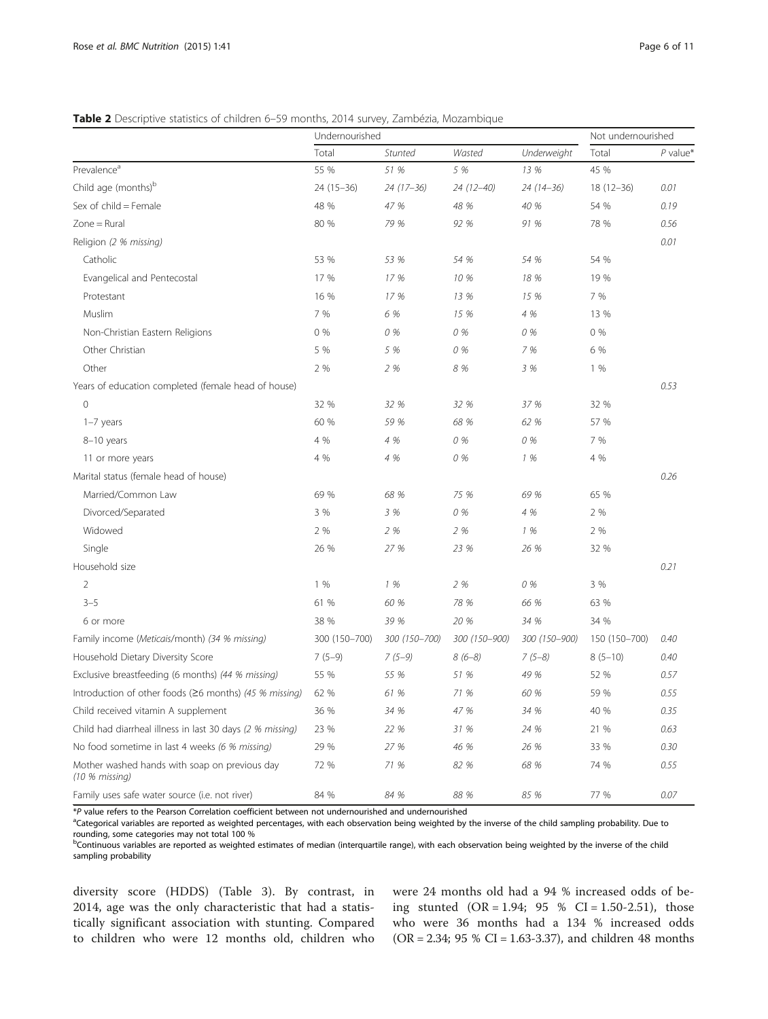## <span id="page-5-0"></span>Table 2 Descriptive statistics of children 6-59 months, 2014 survey, Zambézia, Mozambique

|                                                                 | Undernourished |               | Not undernourished |               |               |            |
|-----------------------------------------------------------------|----------------|---------------|--------------------|---------------|---------------|------------|
|                                                                 | Total          | Stunted       | Wasted             | Underweight   | Total         | $P$ value* |
| Prevalence <sup>a</sup>                                         | 55 %           | 51 %          | 5 %                | 13 %          | 45 %          |            |
| Child age (months) <sup>b</sup>                                 | $24(15-36)$    | 24 (17-36)    | 24 (12-40)         | 24 (14-36)    | $18(12 - 36)$ | 0.01       |
| Sex of child = Female                                           | 48 %           | 47 %          | 48 %               | 40 %          | 54 %          | 0.19       |
| $Zone = Rural$                                                  | 80 %           | 79 %          | 92 %               | 91 %          | 78 %          | 0.56       |
| Religion (2 % missing)                                          |                |               |                    |               |               | 0.01       |
| Catholic                                                        | 53 %           | 53 %          | 54 %               | 54 %          | 54 %          |            |
| Evangelical and Pentecostal                                     | 17 %           | 17 %          | 10 %               | 18 %          | 19 %          |            |
| Protestant                                                      | 16 %           | 17 %          | 13 %               | 15 %          | 7 %           |            |
| Muslim                                                          | 7 %            | 6 %           | 15 %               | 4 %           | 13 %          |            |
| Non-Christian Eastern Religions                                 | 0%             | 0 %           | 0 %                | 0 %           | 0%            |            |
| Other Christian                                                 | 5 %            | 5 %           | 0 %                | 7 %           | 6 %           |            |
| Other                                                           | 2 %            | 2 %           | 8 %                | 3 %           | 1%            |            |
| Years of education completed (female head of house)             |                |               |                    |               |               | 0.53       |
| $\circ$                                                         | 32 %           | 32 %          | 32 %               | 37 %          | 32 %          |            |
| $1-7$ years                                                     | 60 %           | 59 %          | 68 %               | 62 %          | 57 %          |            |
| 8-10 years                                                      | 4 %            | 4 %           | 0 %                | 0 %           | 7 %           |            |
| 11 or more years                                                | 4 %            | 4 %           | 0 %                | 1%            | 4 %           |            |
| Marital status (female head of house)                           |                |               |                    |               |               | 0.26       |
| Married/Common Law                                              | 69 %           | 68 %          | 75 %               | 69 %          | 65 %          |            |
| Divorced/Separated                                              | 3 %            | 3 %           | 0 %                | 4 %           | 2 %           |            |
| Widowed                                                         | 2 %            | 2 %           | 2 %                | 1%            | 2 %           |            |
| Single                                                          | 26 %           | 27 %          | 23 %               | 26 %          | 32 %          |            |
| Household size                                                  |                |               |                    |               |               | 0.21       |
| $\overline{2}$                                                  | 1%             | 1 %           | 2 %                | 0 %           | 3 %           |            |
| $3 - 5$                                                         | 61 %           | 60 %          | 78 %               | 66 %          | 63 %          |            |
| 6 or more                                                       | 38 %           | 39 %          | 20 %               | 34 %          | 34 %          |            |
| Family income (Meticais/month) (34 % missing)                   | 300 (150-700)  | 300 (150-700) | 300 (150-900)      | 300 (150-900) | 150 (150-700) | 0.40       |
| Household Dietary Diversity Score                               | $7(5-9)$       | $7(5-9)$      | $8(6-8)$           | $7(5-8)$      | $8(5-10)$     | 0.40       |
| Exclusive breastfeeding (6 months) (44 % missing)               | 55 %           | 55 %          | 51 %               | 49 %          | 52 %          | 0.57       |
| Introduction of other foods (≥6 months) (45 % missing)          | 62 %           | 61 %          | 71 %               | 60 %          | 59 %          | 0.55       |
| Child received vitamin A supplement                             | 36 %           | 34 %          | 47 %               | 34 %          | 40 %          | 0.35       |
| Child had diarrheal illness in last 30 days (2 % missing)       | 23 %           | 22 %          | 31 %               | 24 %          | 21 %          | 0.63       |
| No food sometime in last 4 weeks (6 % missing)                  | 29 %           | 27 %          | 46 %               | 26 %          | 33 %          | 0.30       |
| Mother washed hands with soap on previous day<br>(10 % missing) | 72 %           | 71 %          | 82 %               | 68 %          | 74 %          | 0.55       |
| Family uses safe water source (i.e. not river)                  | 84 %           | 84 %          | 88 %               | 85 %          | 77 %          | 0.07       |

\*<sup>P</sup> value refers to the Pearson Correlation coefficient between not undernourished and undernourished <sup>a</sup>

aCategorical variables are reported as weighted percentages, with each observation being weighted by the inverse of the child sampling probability. Due to rounding, some categories may not total 100 %

**bContinuous variables are reported as weighted estimates of median (interquartile range), with each observation being weighted by the inverse of the child** sampling probability

diversity score (HDDS) (Table [3\)](#page-6-0). By contrast, in 2014, age was the only characteristic that had a statistically significant association with stunting. Compared to children who were 12 months old, children who were 24 months old had a 94 % increased odds of being stunted  $(OR = 1.94; 95 % CI = 1.50-2.51)$ , those who were 36 months had a 134 % increased odds (OR = 2.34; 95 % CI = 1.63-3.37), and children 48 months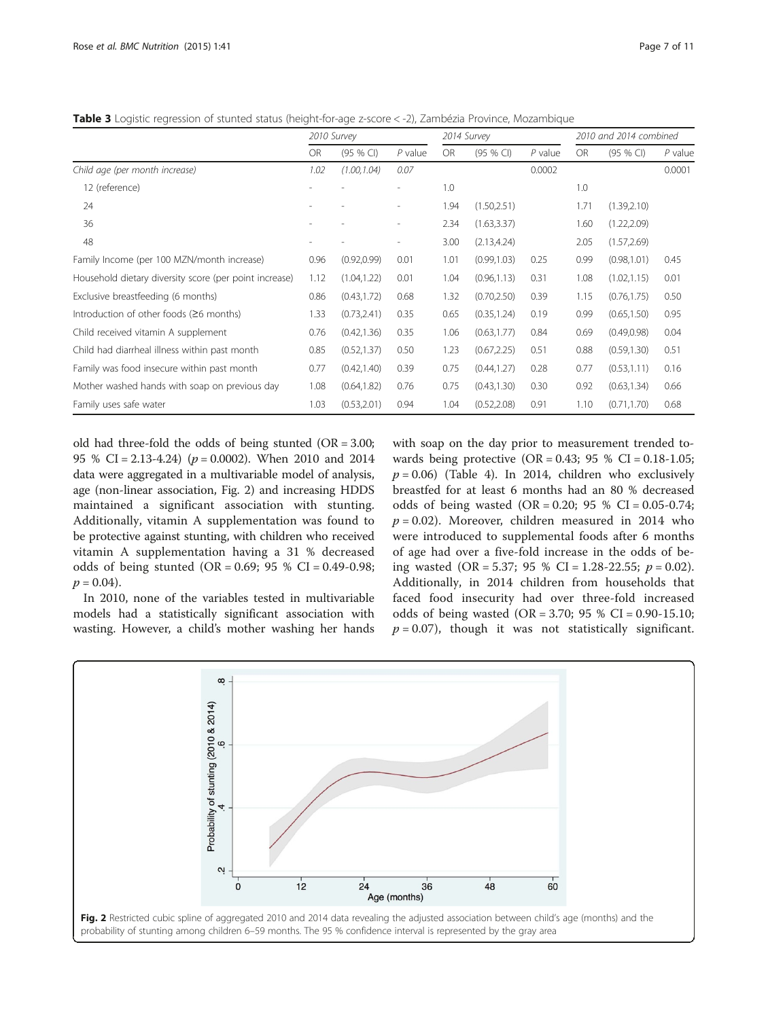<span id="page-6-0"></span>Table 3 Logistic regression of stunted status (height-for-age z-score < -2), Zambézia Province, Mozambique

|                                                        | 2010 Survey |              |                          | 2014 Survey |              |           | 2010 and 2014 combined |              |           |
|--------------------------------------------------------|-------------|--------------|--------------------------|-------------|--------------|-----------|------------------------|--------------|-----------|
|                                                        | <b>OR</b>   | (95 % CI)    | $P$ value                | <b>OR</b>   | (95 % CI)    | $P$ value | <b>OR</b>              | (95 % CI)    | $P$ value |
| Child age (per month increase)                         | 1.02        | (1.00, 1.04) | 0.07                     |             |              | 0.0002    |                        |              | 0.0001    |
| 12 (reference)                                         |             |              |                          | 1.0         |              |           | 1.0                    |              |           |
| 24                                                     |             |              | $\overline{\phantom{a}}$ | 1.94        | (1.50, 2.51) |           | 1.71                   | (1.39, 2.10) |           |
| 36                                                     |             |              | $\overline{\phantom{a}}$ | 2.34        | (1.63, 3.37) |           | 1.60                   | (1.22, 2.09) |           |
| 48                                                     |             |              | $\overline{\phantom{a}}$ | 3.00        | (2.13, 4.24) |           | 2.05                   | (1.57, 2.69) |           |
| Family Income (per 100 MZN/month increase)             | 0.96        | (0.92, 0.99) | 0.01                     | 1.01        | (0.99, 1.03) | 0.25      | 0.99                   | (0.98, 1.01) | 0.45      |
| Household dietary diversity score (per point increase) | 1.12        | (1.04, 1.22) | 0.01                     | 1.04        | (0.96, 1.13) | 0.31      | 1.08                   | (1.02, 1.15) | 0.01      |
| Exclusive breastfeeding (6 months)                     | 0.86        | (0.43, 1.72) | 0.68                     | 1.32        | (0.70, 2.50) | 0.39      | 1.15                   | (0.76, 1.75) | 0.50      |
| Introduction of other foods (≥6 months)                | 1.33        | (0.73, 2.41) | 0.35                     | 0.65        | (0.35, 1.24) | 0.19      | 0.99                   | (0.65, 1.50) | 0.95      |
| Child received vitamin A supplement                    | 0.76        | (0.42, 1.36) | 0.35                     | 1.06        | (0.63, 1.77) | 0.84      | 0.69                   | (0.49, 0.98) | 0.04      |
| Child had diarrheal illness within past month          | 0.85        | (0.52, 1.37) | 0.50                     | 1.23        | (0.67, 2.25) | 0.51      | 0.88                   | (0.59, 1.30) | 0.51      |
| Family was food insecure within past month             | 0.77        | (0.42, 1.40) | 0.39                     | 0.75        | (0.44, 1.27) | 0.28      | 0.77                   | (0.53, 1.11) | 0.16      |
| Mother washed hands with soap on previous day          | 1.08        | (0.64, 1.82) | 0.76                     | 0.75        | (0.43, 1.30) | 0.30      | 0.92                   | (0.63, 1.34) | 0.66      |
| Family uses safe water                                 | 1.03        | (0.53, 2.01) | 0.94                     | 1.04        | (0.52, 2.08) | 0.91      | 1.10                   | (0.71, 1.70) | 0.68      |

old had three-fold the odds of being stunted (OR = 3.00; 95 % CI = 2.13-4.24) ( $p = 0.0002$ ). When 2010 and 2014 data were aggregated in a multivariable model of analysis, age (non-linear association, Fig. 2) and increasing HDDS maintained a significant association with stunting. Additionally, vitamin A supplementation was found to be protective against stunting, with children who received vitamin A supplementation having a 31 % decreased odds of being stunted (OR = 0.69; 95 % CI = 0.49-0.98;  $p = 0.04$ .

In 2010, none of the variables tested in multivariable models had a statistically significant association with wasting. However, a child's mother washing her hands with soap on the day prior to measurement trended towards being protective  $(OR = 0.43; 95 % CI = 0.18-1.05;$  $p = 0.06$ ) (Table [4\)](#page-7-0). In 2014, children who exclusively breastfed for at least 6 months had an 80 % decreased odds of being wasted  $(OR = 0.20; 95 % CI = 0.05-0.74;$  $p = 0.02$ ). Moreover, children measured in 2014 who were introduced to supplemental foods after 6 months of age had over a five-fold increase in the odds of being wasted (OR = 5.37; 95 % CI = 1.28-22.55;  $p = 0.02$ ). Additionally, in 2014 children from households that faced food insecurity had over three-fold increased odds of being wasted (OR = 3.70; 95 % CI = 0.90-15.10;  $p = 0.07$ ), though it was not statistically significant.

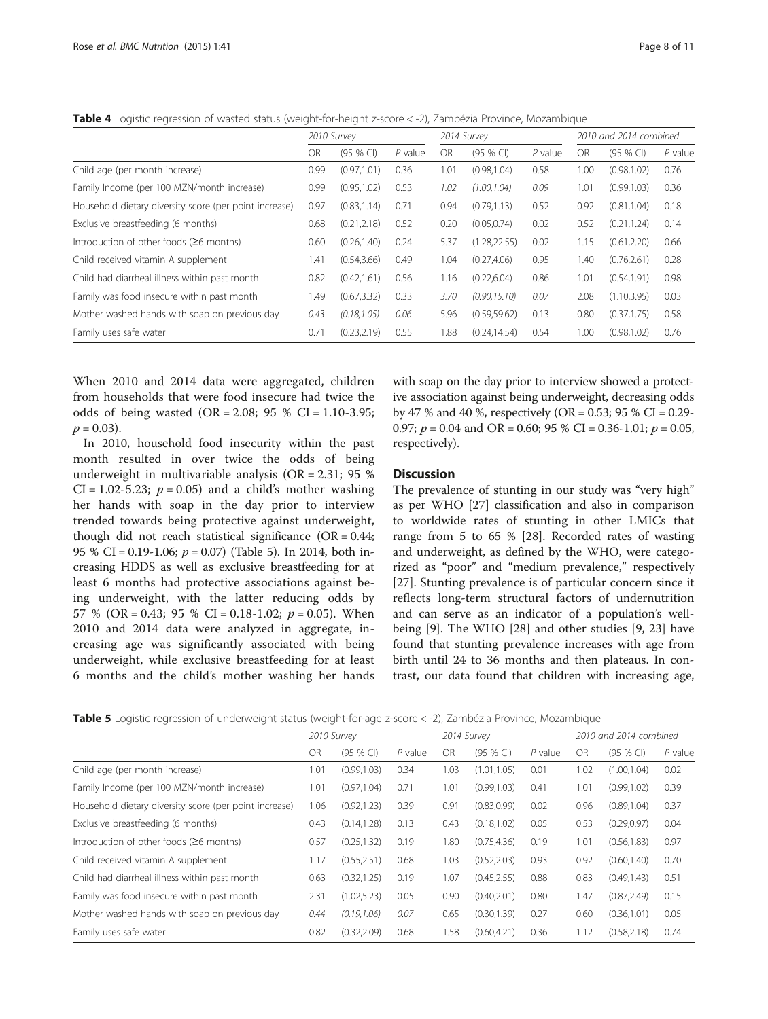<span id="page-7-0"></span>Table 4 Logistic regression of wasted status (weight-for-height z-score < -2), Zambézia Province, Mozambique

|                                                        | 2010 Survey |              |           | 2014 Survey |               |           | 2010 and 2014 combined |              |           |
|--------------------------------------------------------|-------------|--------------|-----------|-------------|---------------|-----------|------------------------|--------------|-----------|
|                                                        | OR          | $(95%$ CI)   | $P$ value | OR          | (95 % CI)     | $P$ value | OR                     | $(95%$ CI)   | $P$ value |
| Child age (per month increase)                         | 0.99        | (0.97, 1.01) | 0.36      | 1.01        | (0.98, 1.04)  | 0.58      | 1.00                   | (0.98, 1.02) | 0.76      |
| Family Income (per 100 MZN/month increase)             | 0.99        | (0.95, 1.02) | 0.53      | 1.02        | (1.00, 1.04)  | 0.09      | 1.01                   | (0.99, 1.03) | 0.36      |
| Household dietary diversity score (per point increase) | 0.97        | (0.83, 1.14) | 0.71      | 0.94        | (0.79, 1.13)  | 0.52      | 0.92                   | (0.81, 1.04) | 0.18      |
| Exclusive breastfeeding (6 months)                     | 0.68        | (0.21, 2.18) | 0.52      | 0.20        | (0.05, 0.74)  | 0.02      | 0.52                   | (0.21, 1.24) | 0.14      |
| Introduction of other foods $(26$ months)              | 0.60        | (0.26, 1.40) | 0.24      | 5.37        | (1.28, 22.55) | 0.02      | 1.15                   | (0.61, 2.20) | 0.66      |
| Child received vitamin A supplement                    | 1.41        | (0.54, 3.66) | 0.49      | 1.04        | (0.27, 4.06)  | 0.95      | 1.40                   | (0.76, 2.61) | 0.28      |
| Child had diarrheal illness within past month          | 0.82        | (0.42, 1.61) | 0.56      | 1.16        | (0.22, 6.04)  | 0.86      | 1.01                   | (0.54, 1.91) | 0.98      |
| Family was food insecure within past month             | 1.49        | (0.67, 3.32) | 0.33      | 3.70        | (0.90, 15.10) | 0.07      | 2.08                   | (1.10, 3.95) | 0.03      |
| Mother washed hands with soap on previous day          | 0.43        | (0.18, 1.05) | 0.06      | 5.96        | (0.59, 59.62) | 0.13      | 0.80                   | (0.37, 1.75) | 0.58      |
| Family uses safe water                                 | 0.71        | (0.23, 2.19) | 0.55      | 1.88        | (0.24, 14.54) | 0.54      | 1.00                   | (0.98.1.02)  | 0.76      |

When 2010 and 2014 data were aggregated, children from households that were food insecure had twice the odds of being wasted  $(OR = 2.08; 95 % CI = 1.10-3.95;$  $p = 0.03$ .

In 2010, household food insecurity within the past month resulted in over twice the odds of being underweight in multivariable analysis (OR = 2.31; 95 %  $CI = 1.02 - 5.23$ ;  $p = 0.05$ ) and a child's mother washing her hands with soap in the day prior to interview trended towards being protective against underweight, though did not reach statistical significance  $(OR = 0.44;$ 95 % CI = 0.19-1.06;  $p = 0.07$ ) (Table 5). In 2014, both increasing HDDS as well as exclusive breastfeeding for at least 6 months had protective associations against being underweight, with the latter reducing odds by 57 % (OR = 0.43; 95 % CI = 0.18-1.02;  $p = 0.05$ ). When 2010 and 2014 data were analyzed in aggregate, increasing age was significantly associated with being underweight, while exclusive breastfeeding for at least 6 months and the child's mother washing her hands with soap on the day prior to interview showed a protective association against being underweight, decreasing odds by 47 % and 40 %, respectively (OR = 0.53; 95 % CI = 0.29-0.97;  $p = 0.04$  and OR = 0.60; 95 % CI = 0.36-1.01;  $p = 0.05$ , respectively).

## **Discussion**

The prevalence of stunting in our study was "very high" as per WHO [[27](#page-10-0)] classification and also in comparison to worldwide rates of stunting in other LMICs that range from 5 to 65 % [[28\]](#page-10-0). Recorded rates of wasting and underweight, as defined by the WHO, were categorized as "poor" and "medium prevalence," respectively [[27\]](#page-10-0). Stunting prevalence is of particular concern since it reflects long-term structural factors of undernutrition and can serve as an indicator of a population's wellbeing [[9](#page-10-0)]. The WHO [\[28](#page-10-0)] and other studies [\[9](#page-10-0), [23](#page-10-0)] have found that stunting prevalence increases with age from birth until 24 to 36 months and then plateaus. In contrast, our data found that children with increasing age,

Table 5 Logistic regression of underweight status (weight-for-age z-score < -2), Zambézia Province, Mozambique

|                                                        | 2010 Survey |              | 2014 Survey |      |              | 2010 and 2014 combined |      |              |           |
|--------------------------------------------------------|-------------|--------------|-------------|------|--------------|------------------------|------|--------------|-----------|
|                                                        | <b>OR</b>   | (95 % CI)    | $P$ value   | OR   | (95 % CI)    | $P$ value              | OR   | $(95%$ CI)   | $P$ value |
| Child age (per month increase)                         | 1.01        | (0.99, 1.03) | 0.34        | 1.03 | (1.01, 1.05) | 0.01                   | 1.02 | (1.00, 1.04) | 0.02      |
| Family Income (per 100 MZN/month increase)             | 1.01        | (0.97, 1.04) | 0.71        | 1.01 | (0.99, 1.03) | 0.41                   | 1.01 | (0.99, 1.02) | 0.39      |
| Household dietary diversity score (per point increase) | 1.06        | (0.92, 1.23) | 0.39        | 0.91 | (0.83, 0.99) | 0.02                   | 0.96 | (0.89, 1.04) | 0.37      |
| Exclusive breastfeeding (6 months)                     | 0.43        | (0.14, 1.28) | 0.13        | 0.43 | (0.18, 1.02) | 0.05                   | 0.53 | (0.29, 0.97) | 0.04      |
| Introduction of other foods (≥6 months)                | 0.57        | (0.25, 1.32) | 0.19        | 1.80 | (0.75, 4.36) | 0.19                   | 1.01 | (0.56, 1.83) | 0.97      |
| Child received vitamin A supplement                    | 1.17        | (0.55, 2.51) | 0.68        | 1.03 | (0.52, 2.03) | 0.93                   | 0.92 | (0.60, 1.40) | 0.70      |
| Child had diarrheal illness within past month          | 0.63        | (0.32, 1.25) | 0.19        | 1.07 | (0.45, 2.55) | 0.88                   | 0.83 | (0.49, 1.43) | 0.51      |
| Family was food insecure within past month             | 2.31        | (1.02, 5.23) | 0.05        | 0.90 | (0.40, 2.01) | 0.80                   | 1.47 | (0.87, 2.49) | 0.15      |
| Mother washed hands with soap on previous day          | 0.44        | (0.19, 1.06) | 0.07        | 0.65 | (0.30, 1.39) | 0.27                   | 0.60 | (0.36, 1.01) | 0.05      |
| Family uses safe water                                 | 0.82        | (0.32, 2.09) | 0.68        | 1.58 | (0.60, 4.21) | 0.36                   | 1.12 | (0.58, 2.18) | 0.74      |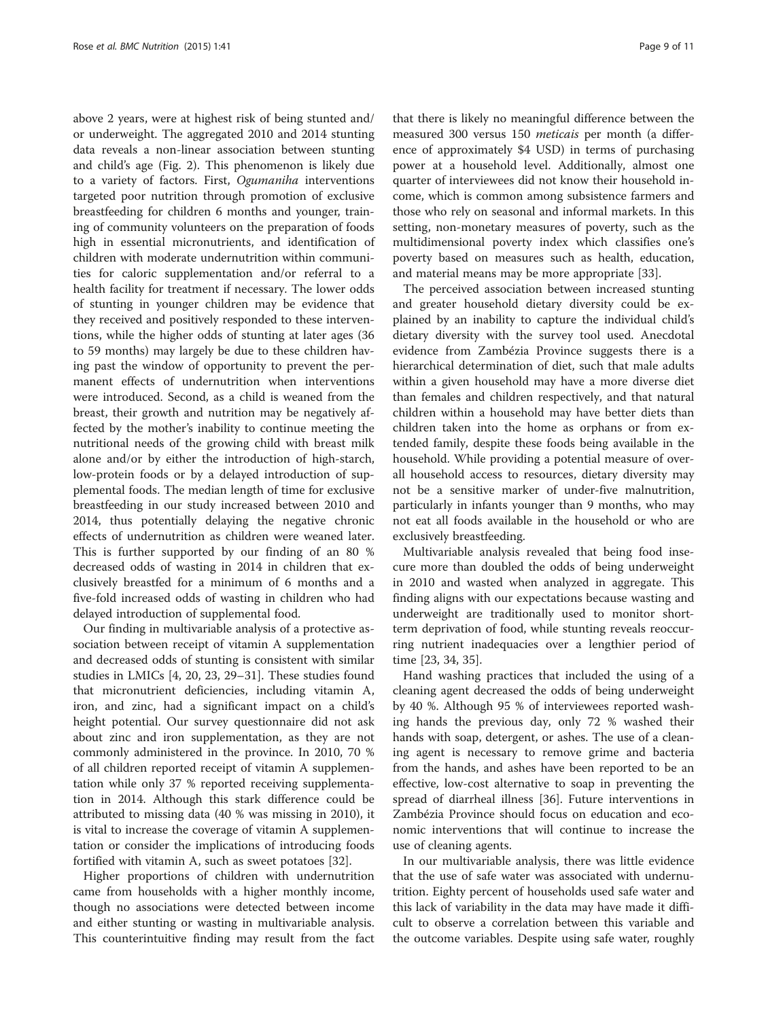above 2 years, were at highest risk of being stunted and/ or underweight. The aggregated 2010 and 2014 stunting data reveals a non-linear association between stunting and child's age (Fig. [2\)](#page-6-0). This phenomenon is likely due to a variety of factors. First, Ogumaniha interventions targeted poor nutrition through promotion of exclusive breastfeeding for children 6 months and younger, training of community volunteers on the preparation of foods high in essential micronutrients, and identification of children with moderate undernutrition within communities for caloric supplementation and/or referral to a health facility for treatment if necessary. The lower odds of stunting in younger children may be evidence that they received and positively responded to these interventions, while the higher odds of stunting at later ages (36 to 59 months) may largely be due to these children having past the window of opportunity to prevent the permanent effects of undernutrition when interventions were introduced. Second, as a child is weaned from the breast, their growth and nutrition may be negatively affected by the mother's inability to continue meeting the nutritional needs of the growing child with breast milk alone and/or by either the introduction of high-starch, low-protein foods or by a delayed introduction of supplemental foods. The median length of time for exclusive breastfeeding in our study increased between 2010 and 2014, thus potentially delaying the negative chronic effects of undernutrition as children were weaned later. This is further supported by our finding of an 80 % decreased odds of wasting in 2014 in children that exclusively breastfed for a minimum of 6 months and a five-fold increased odds of wasting in children who had delayed introduction of supplemental food.

Our finding in multivariable analysis of a protective association between receipt of vitamin A supplementation and decreased odds of stunting is consistent with similar studies in LMICs [[4, 20, 23, 29](#page-10-0)–[31\]](#page-10-0). These studies found that micronutrient deficiencies, including vitamin A, iron, and zinc, had a significant impact on a child's height potential. Our survey questionnaire did not ask about zinc and iron supplementation, as they are not commonly administered in the province. In 2010, 70 % of all children reported receipt of vitamin A supplementation while only 37 % reported receiving supplementation in 2014. Although this stark difference could be attributed to missing data (40 % was missing in 2010), it is vital to increase the coverage of vitamin A supplementation or consider the implications of introducing foods fortified with vitamin A, such as sweet potatoes [[32\]](#page-10-0).

Higher proportions of children with undernutrition came from households with a higher monthly income, though no associations were detected between income and either stunting or wasting in multivariable analysis. This counterintuitive finding may result from the fact

that there is likely no meaningful difference between the measured 300 versus 150 meticais per month (a difference of approximately \$4 USD) in terms of purchasing power at a household level. Additionally, almost one quarter of interviewees did not know their household income, which is common among subsistence farmers and those who rely on seasonal and informal markets. In this setting, non-monetary measures of poverty, such as the multidimensional poverty index which classifies one's poverty based on measures such as health, education, and material means may be more appropriate [[33\]](#page-10-0).

The perceived association between increased stunting and greater household dietary diversity could be explained by an inability to capture the individual child's dietary diversity with the survey tool used. Anecdotal evidence from Zambézia Province suggests there is a hierarchical determination of diet, such that male adults within a given household may have a more diverse diet than females and children respectively, and that natural children within a household may have better diets than children taken into the home as orphans or from extended family, despite these foods being available in the household. While providing a potential measure of overall household access to resources, dietary diversity may not be a sensitive marker of under-five malnutrition, particularly in infants younger than 9 months, who may not eat all foods available in the household or who are exclusively breastfeeding.

Multivariable analysis revealed that being food insecure more than doubled the odds of being underweight in 2010 and wasted when analyzed in aggregate. This finding aligns with our expectations because wasting and underweight are traditionally used to monitor shortterm deprivation of food, while stunting reveals reoccurring nutrient inadequacies over a lengthier period of time [\[23, 34, 35\]](#page-10-0).

Hand washing practices that included the using of a cleaning agent decreased the odds of being underweight by 40 %. Although 95 % of interviewees reported washing hands the previous day, only 72 % washed their hands with soap, detergent, or ashes. The use of a cleaning agent is necessary to remove grime and bacteria from the hands, and ashes have been reported to be an effective, low-cost alternative to soap in preventing the spread of diarrheal illness [\[36](#page-10-0)]. Future interventions in Zambézia Province should focus on education and economic interventions that will continue to increase the use of cleaning agents.

In our multivariable analysis, there was little evidence that the use of safe water was associated with undernutrition. Eighty percent of households used safe water and this lack of variability in the data may have made it difficult to observe a correlation between this variable and the outcome variables. Despite using safe water, roughly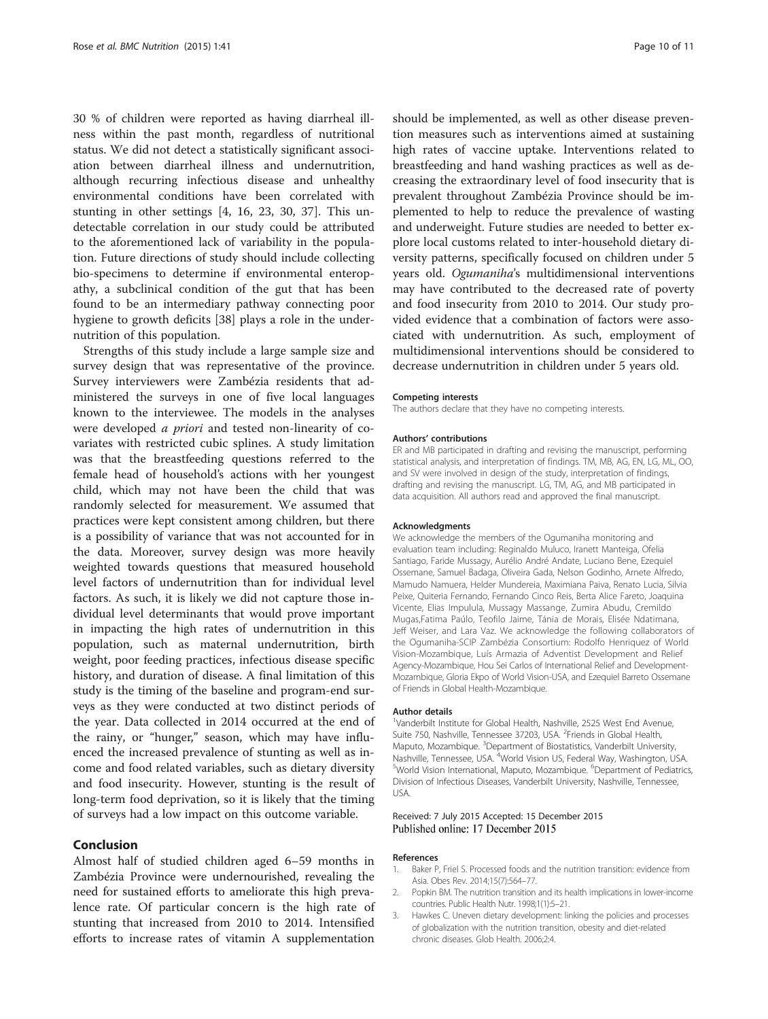<span id="page-9-0"></span>30 % of children were reported as having diarrheal illness within the past month, regardless of nutritional status. We did not detect a statistically significant association between diarrheal illness and undernutrition, although recurring infectious disease and unhealthy environmental conditions have been correlated with stunting in other settings [\[4](#page-10-0), [16, 23, 30](#page-10-0), [37\]](#page-10-0). This undetectable correlation in our study could be attributed to the aforementioned lack of variability in the population. Future directions of study should include collecting bio-specimens to determine if environmental enteropathy, a subclinical condition of the gut that has been found to be an intermediary pathway connecting poor hygiene to growth deficits [[38\]](#page-10-0) plays a role in the undernutrition of this population.

Strengths of this study include a large sample size and survey design that was representative of the province. Survey interviewers were Zambézia residents that administered the surveys in one of five local languages known to the interviewee. The models in the analyses were developed a priori and tested non-linearity of covariates with restricted cubic splines. A study limitation was that the breastfeeding questions referred to the female head of household's actions with her youngest child, which may not have been the child that was randomly selected for measurement. We assumed that practices were kept consistent among children, but there is a possibility of variance that was not accounted for in the data. Moreover, survey design was more heavily weighted towards questions that measured household level factors of undernutrition than for individual level factors. As such, it is likely we did not capture those individual level determinants that would prove important in impacting the high rates of undernutrition in this population, such as maternal undernutrition, birth weight, poor feeding practices, infectious disease specific history, and duration of disease. A final limitation of this study is the timing of the baseline and program-end surveys as they were conducted at two distinct periods of the year. Data collected in 2014 occurred at the end of the rainy, or "hunger," season, which may have influenced the increased prevalence of stunting as well as income and food related variables, such as dietary diversity and food insecurity. However, stunting is the result of long-term food deprivation, so it is likely that the timing of surveys had a low impact on this outcome variable.

## Conclusion

Almost half of studied children aged 6–59 months in Zambézia Province were undernourished, revealing the need for sustained efforts to ameliorate this high prevalence rate. Of particular concern is the high rate of stunting that increased from 2010 to 2014. Intensified efforts to increase rates of vitamin A supplementation

should be implemented, as well as other disease prevention measures such as interventions aimed at sustaining high rates of vaccine uptake. Interventions related to breastfeeding and hand washing practices as well as decreasing the extraordinary level of food insecurity that is prevalent throughout Zambézia Province should be implemented to help to reduce the prevalence of wasting and underweight. Future studies are needed to better explore local customs related to inter-household dietary diversity patterns, specifically focused on children under 5 years old. Ogumaniha's multidimensional interventions may have contributed to the decreased rate of poverty and food insecurity from 2010 to 2014. Our study provided evidence that a combination of factors were associated with undernutrition. As such, employment of multidimensional interventions should be considered to decrease undernutrition in children under 5 years old.

#### Competing interests

The authors declare that they have no competing interests.

#### Authors' contributions

ER and MB participated in drafting and revising the manuscript, performing statistical analysis, and interpretation of findings. TM, MB, AG, EN, LG, ML, OO, and SV were involved in design of the study, interpretation of findings, drafting and revising the manuscript. LG, TM, AG, and MB participated in data acquisition. All authors read and approved the final manuscript.

#### Acknowledgments

We acknowledge the members of the Ogumaniha monitoring and evaluation team including: Reginaldo Muluco, Iranett Manteiga, Ofelia Santiago, Faride Mussagy, Aurélio André Andate, Luciano Bene, Ezequiel Ossemane, Samuel Badaga, Oliveira Gada, Nelson Godinho, Arnete Alfredo, Mamudo Namuera, Helder Mundereia, Maximiana Paiva, Renato Lucia, Silvia Peixe, Quiteria Fernando, Fernando Cinco Reis, Berta Alice Fareto, Joaquina Vicente, Elias Impulula, Mussagy Massange, Zumira Abudu, Cremildo Mugas,Fatima Paúlo, Teofilo Jaime, Tánia de Morais, Elisée Ndatimana, Jeff Weiser, and Lara Vaz. We acknowledge the following collaborators of the Ogumaniha-SCIP Zambézia Consortium: Rodolfo Henriquez of World Vision-Mozambique, Luís Armazia of Adventist Development and Relief Agency-Mozambique, Hou Sei Carlos of International Relief and Development-Mozambique, Gloria Ekpo of World Vision-USA, and Ezequiel Barreto Ossemane of Friends in Global Health-Mozambique.

#### Author details

<sup>1</sup>Vanderbilt Institute for Global Health, Nashville, 2525 West End Avenue, Suite 750, Nashville, Tennessee 37203, USA. <sup>2</sup>Friends in Global Health, Maputo, Mozambique. <sup>3</sup>Department of Biostatistics, Vanderbilt University Nashville, Tennessee, USA. <sup>4</sup>World Vision US, Federal Way, Washington, USA.<br><sup>5</sup>World Vision International Manute Mezambique, <sup>6</sup>Department of Podiatric World Vision International, Maputo, Mozambique. <sup>6</sup>Department of Pediatrics Division of Infectious Diseases, Vanderbilt University, Nashville, Tennessee, USA.

#### Received: 7 July 2015 Accepted: 15 December 2015 Published online: 17 December 2015

#### References

- 1. Baker P, Friel S. Processed foods and the nutrition transition: evidence from Asia. Obes Rev. 2014;15(7):564–77.
- 2. Popkin BM. The nutrition transition and its health implications in lower-income countries. Public Health Nutr. 1998;1(1):5–21.
- 3. Hawkes C. Uneven dietary development: linking the policies and processes of globalization with the nutrition transition, obesity and diet-related chronic diseases. Glob Health. 2006;2:4.